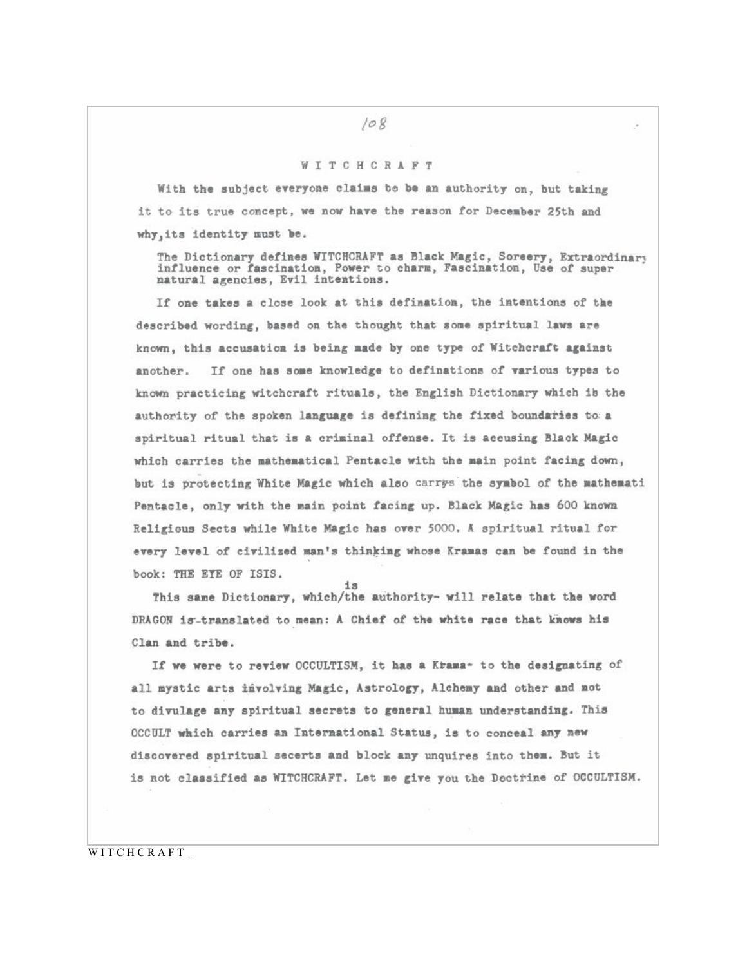## WITCHCRAFT

With the subject everyone claims be be an authority on, but taking it to its true concept, we now have the reason for December 25th and why, its identity must be.

The Dictionary defines WITCHCRAFT as Black Magic, Soreery, Extraordinary influence or fascination, Power to charm, Fascination, Use of super natural agencies, Evil intentions.

If one takes a close look at this defination, the intentions of the described wording, based on the thought that some spiritual laws are known, this accusation is being made by one type of Witchcraft against another. If one has some knowledge to definations of various types to known practicing witchcraft rituals, the English Dictionary which is the authority of the spoken language is defining the fixed boundaries to a spiritual ritual that is a criminal offense. It is accusing Black Magic which carries the mathematical Pentacle with the main point facing down, but is protecting White Magic which also carrys the symbol of the mathemati Pentacle, only with the main point facing up. Black Magic has 600 known Religious Sects while White Magic has over 5000. A spiritual ritual for every level of civilized man's thinking whose Kramas can be found in the book: THE ETE OF ISIS.

This same Dictionary, which/the authority- will relate that the word DRAGON is-translated to mean: A Chief of the white race that knows his Clan and tribe.

If we were to review OCCULTISM, it has a Krama- to the designating of all mystic arts involving Magic, Astrology, Alchemy and other and not to divulage any spiritual secrets to general human understanding. This OCCULT which carries an International Status, is to conceal any new discovered spiritual secerts and block any unquires into them. But it is not classified as WITCHCRAFT. Let me give you the Doctrine of OCCULTISM.

WITCHCRAFT\_